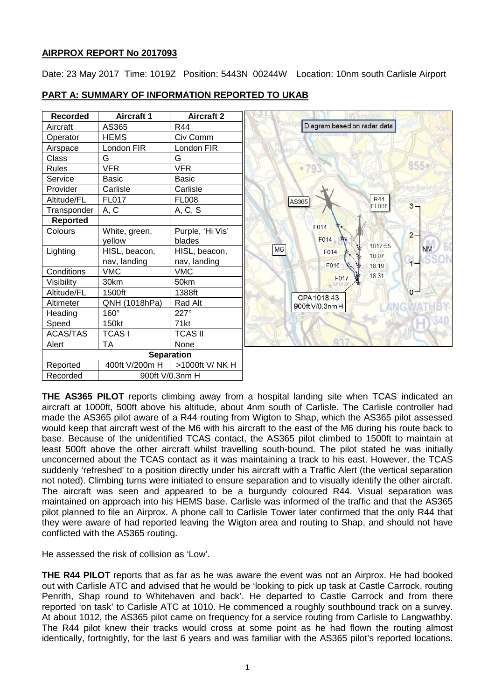# **AIRPROX REPORT No 2017093**

Date: 23 May 2017 Time: 1019Z Position: 5443N 00244W Location: 10nm south Carlisle Airport

| <b>Recorded</b>   | <b>Aircraft 1</b> | <b>Aircraft 2</b> |                                  |
|-------------------|-------------------|-------------------|----------------------------------|
| Aircraft          | AS365             | R44               | Diagram based on radar data      |
| Operator          | <b>HEMS</b>       | Civ Comm          |                                  |
| Airspace          | London FIR        | London FIR        |                                  |
| Class             | G                 | G                 |                                  |
| Rules             | <b>VFR</b>        | <b>VFR</b>        | 855 <sub>g</sub><br>$-793$       |
| Service           | <b>Basic</b>      | <b>Basic</b>      |                                  |
| Provider          | Carlisle          | Carlisle          |                                  |
| Altitude/FL       | FL017             | <b>FL008</b>      | <b>R44</b><br>AS365              |
| Transponder       | A, C              | A, C, S           | $3 -$<br><b>FL008</b>            |
| Reported          |                   |                   |                                  |
| Colours           | White, green,     | Purple, 'Hi Vis'  | F014<br>$2 -$                    |
|                   | yellow            | blades            | F014<br>1017:55                  |
| Lighting          | HISL, beacon,     | HISL, beacon,     | M6<br><b>NM</b><br>F014<br>18:07 |
|                   | nav, landing      | nav, landing      | $\overline{1}$<br>F016<br>18:19  |
| Conditions        | <b>VMC</b>        | <b>VMC</b>        | 18:31                            |
| Visibility        | 30km              | 50km              | F017                             |
| Altitude/FL       | 1500ft            | 1388ft            | $0 -$<br>CPA 1018:43             |
| Altimeter         | QNH (1018hPa)     | Rad Alt           | 900ft V/0.3nm H                  |
| Heading           | 160°              | 227°              |                                  |
| Speed             | 150kt             | 71kt              |                                  |
| <b>ACAS/TAS</b>   | <b>TCASI</b>      | <b>TCAS II</b>    |                                  |
| Alert             | <b>TA</b>         | None              | 0.2.7                            |
| <b>Separation</b> |                   |                   |                                  |
| Reported          | 400ft V/200m H    | >1000ft V/ NK H   |                                  |
| Recorded          | 900ft V/0.3nm H   |                   |                                  |

# **PART A: SUMMARY OF INFORMATION REPORTED TO UKAB**

**THE AS365 PILOT** reports climbing away from a hospital landing site when TCAS indicated an aircraft at 1000ft, 500ft above his altitude, about 4nm south of Carlisle. The Carlisle controller had made the AS365 pilot aware of a R44 routing from Wigton to Shap, which the AS365 pilot assessed would keep that aircraft west of the M6 with his aircraft to the east of the M6 during his route back to base. Because of the unidentified TCAS contact, the AS365 pilot climbed to 1500ft to maintain at least 500ft above the other aircraft whilst travelling south-bound. The pilot stated he was initially unconcerned about the TCAS contact as it was maintaining a track to his east. However, the TCAS suddenly 'refreshed' to a position directly under his aircraft with a Traffic Alert (the vertical separation not noted). Climbing turns were initiated to ensure separation and to visually identify the other aircraft. The aircraft was seen and appeared to be a burgundy coloured R44. Visual separation was maintained on approach into his HEMS base. Carlisle was informed of the traffic and that the AS365 pilot planned to file an Airprox. A phone call to Carlisle Tower later confirmed that the only R44 that they were aware of had reported leaving the Wigton area and routing to Shap, and should not have conflicted with the AS365 routing.

He assessed the risk of collision as 'Low'.

**THE R44 PILOT** reports that as far as he was aware the event was not an Airprox. He had booked out with Carlisle ATC and advised that he would be 'looking to pick up task at Castle Carrock, routing Penrith, Shap round to Whitehaven and back'. He departed to Castle Carrock and from there reported 'on task' to Carlisle ATC at 1010. He commenced a roughly southbound track on a survey. At about 1012, the AS365 pilot came on frequency for a service routing from Carlisle to Langwathby. The R44 pilot knew their tracks would cross at some point as he had flown the routing almost identically, fortnightly, for the last 6 years and was familiar with the AS365 pilot's reported locations.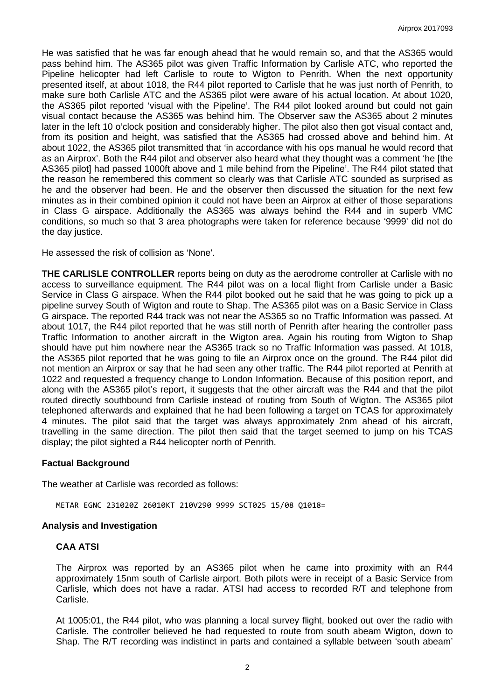He was satisfied that he was far enough ahead that he would remain so, and that the AS365 would pass behind him. The AS365 pilot was given Traffic Information by Carlisle ATC, who reported the Pipeline helicopter had left Carlisle to route to Wigton to Penrith. When the next opportunity presented itself, at about 1018, the R44 pilot reported to Carlisle that he was just north of Penrith, to make sure both Carlisle ATC and the AS365 pilot were aware of his actual location. At about 1020, the AS365 pilot reported 'visual with the Pipeline'. The R44 pilot looked around but could not gain visual contact because the AS365 was behind him. The Observer saw the AS365 about 2 minutes later in the left 10 o'clock position and considerably higher. The pilot also then got visual contact and, from its position and height, was satisfied that the AS365 had crossed above and behind him. At about 1022, the AS365 pilot transmitted that 'in accordance with his ops manual he would record that as an Airprox'. Both the R44 pilot and observer also heard what they thought was a comment 'he [the AS365 pilot] had passed 1000ft above and 1 mile behind from the Pipeline'. The R44 pilot stated that the reason he remembered this comment so clearly was that Carlisle ATC sounded as surprised as he and the observer had been. He and the observer then discussed the situation for the next few minutes as in their combined opinion it could not have been an Airprox at either of those separations in Class G airspace. Additionally the AS365 was always behind the R44 and in superb VMC conditions, so much so that 3 area photographs were taken for reference because '9999' did not do the day justice.

He assessed the risk of collision as 'None'.

**THE CARLISLE CONTROLLER** reports being on duty as the aerodrome controller at Carlisle with no access to surveillance equipment. The R44 pilot was on a local flight from Carlisle under a Basic Service in Class G airspace. When the R44 pilot booked out he said that he was going to pick up a pipeline survey South of Wigton and route to Shap. The AS365 pilot was on a Basic Service in Class G airspace. The reported R44 track was not near the AS365 so no Traffic Information was passed. At about 1017, the R44 pilot reported that he was still north of Penrith after hearing the controller pass Traffic Information to another aircraft in the Wigton area. Again his routing from Wigton to Shap should have put him nowhere near the AS365 track so no Traffic Information was passed. At 1018, the AS365 pilot reported that he was going to file an Airprox once on the ground. The R44 pilot did not mention an Airprox or say that he had seen any other traffic. The R44 pilot reported at Penrith at 1022 and requested a frequency change to London Information. Because of this position report, and along with the AS365 pilot's report, it suggests that the other aircraft was the R44 and that the pilot routed directly southbound from Carlisle instead of routing from South of Wigton. The AS365 pilot telephoned afterwards and explained that he had been following a target on TCAS for approximately 4 minutes. The pilot said that the target was always approximately 2nm ahead of his aircraft, travelling in the same direction. The pilot then said that the target seemed to jump on his TCAS display; the pilot sighted a R44 helicopter north of Penrith.

## **Factual Background**

The weather at Carlisle was recorded as follows:

METAR EGNC 231020Z 26010KT 210V290 9999 SCT025 15/08 Q1018=

## **Analysis and Investigation**

## **CAA ATSI**

The Airprox was reported by an AS365 pilot when he came into proximity with an R44 approximately 15nm south of Carlisle airport. Both pilots were in receipt of a Basic Service from Carlisle, which does not have a radar. ATSI had access to recorded R/T and telephone from Carlisle.

At 1005:01, the R44 pilot, who was planning a local survey flight, booked out over the radio with Carlisle. The controller believed he had requested to route from south abeam Wigton, down to Shap. The R/T recording was indistinct in parts and contained a syllable between 'south abeam'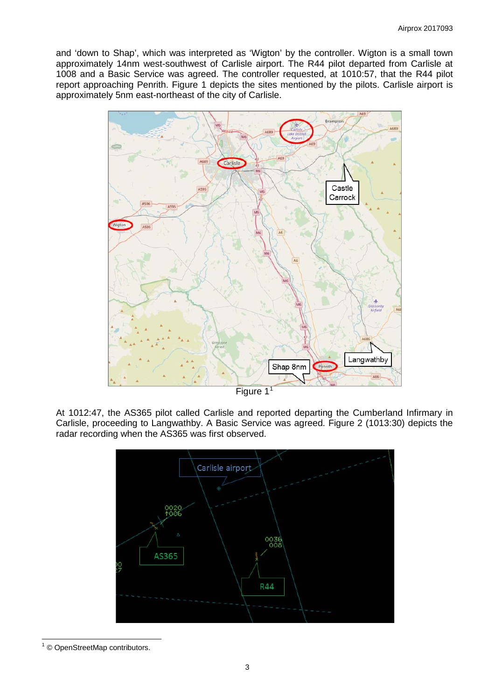and 'down to Shap', which was interpreted as 'Wigton' by the controller. Wigton is a small town approximately 14nm west-southwest of Carlisle airport. The R44 pilot departed from Carlisle at 1008 and a Basic Service was agreed. The controller requested, at 1010:57, that the R44 pilot report approaching Penrith. Figure 1 depicts the sites mentioned by the pilots. Carlisle airport is approximately 5nm east-northeast of the city of Carlisle.



At 1012:47, the AS365 pilot called Carlisle and reported departing the Cumberland Infirmary in Carlisle, proceeding to Langwathby. A Basic Service was agreed. Figure 2 (1013:30) depicts the radar recording when the AS365 was first observed.



<span id="page-2-0"></span><sup>1</sup> © OpenStreetMap contributors.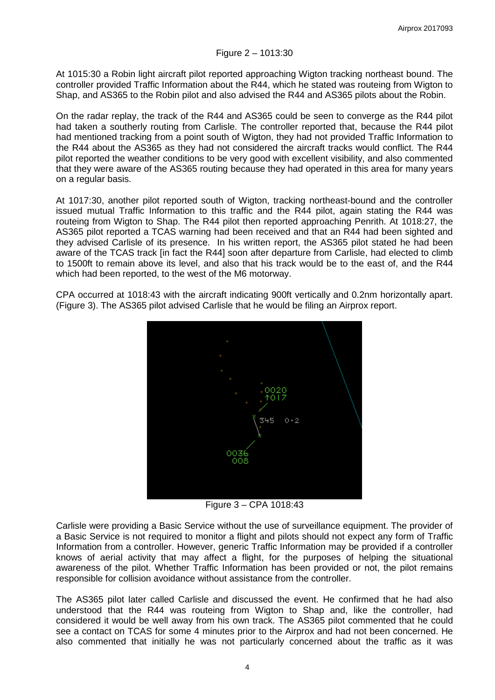At 1015:30 a Robin light aircraft pilot reported approaching Wigton tracking northeast bound. The controller provided Traffic Information about the R44, which he stated was routeing from Wigton to Shap, and AS365 to the Robin pilot and also advised the R44 and AS365 pilots about the Robin.

On the radar replay, the track of the R44 and AS365 could be seen to converge as the R44 pilot had taken a southerly routing from Carlisle. The controller reported that, because the R44 pilot had mentioned tracking from a point south of Wigton, they had not provided Traffic Information to the R44 about the AS365 as they had not considered the aircraft tracks would conflict. The R44 pilot reported the weather conditions to be very good with excellent visibility, and also commented that they were aware of the AS365 routing because they had operated in this area for many years on a regular basis.

At 1017:30, another pilot reported south of Wigton, tracking northeast-bound and the controller issued mutual Traffic Information to this traffic and the R44 pilot, again stating the R44 was routeing from Wigton to Shap. The R44 pilot then reported approaching Penrith. At 1018:27, the AS365 pilot reported a TCAS warning had been received and that an R44 had been sighted and they advised Carlisle of its presence. In his written report, the AS365 pilot stated he had been aware of the TCAS track [in fact the R44] soon after departure from Carlisle, had elected to climb to 1500ft to remain above its level, and also that his track would be to the east of, and the R44 which had been reported, to the west of the M6 motorway.

CPA occurred at 1018:43 with the aircraft indicating 900ft vertically and 0.2nm horizontally apart. (Figure 3). The AS365 pilot advised Carlisle that he would be filing an Airprox report.



Figure 3 – CPA 1018:43

Carlisle were providing a Basic Service without the use of surveillance equipment. The provider of a Basic Service is not required to monitor a flight and pilots should not expect any form of Traffic Information from a controller. However, generic Traffic Information may be provided if a controller knows of aerial activity that may affect a flight, for the purposes of helping the situational awareness of the pilot. Whether Traffic Information has been provided or not, the pilot remains responsible for collision avoidance without assistance from the controller.

The AS365 pilot later called Carlisle and discussed the event. He confirmed that he had also understood that the R44 was routeing from Wigton to Shap and, like the controller, had considered it would be well away from his own track. The AS365 pilot commented that he could see a contact on TCAS for some 4 minutes prior to the Airprox and had not been concerned. He also commented that initially he was not particularly concerned about the traffic as it was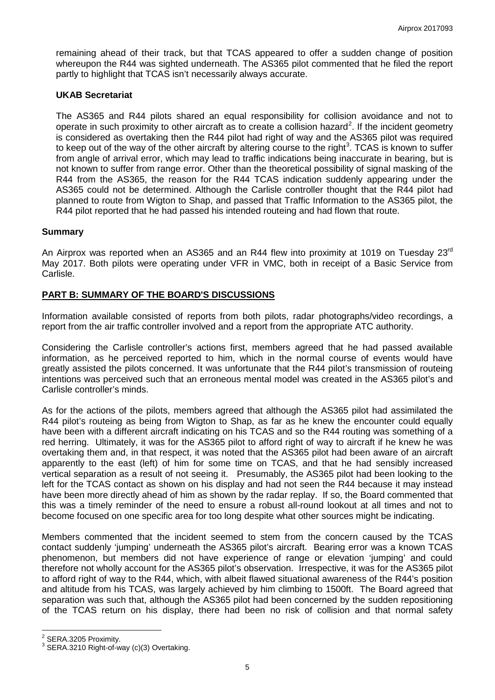remaining ahead of their track, but that TCAS appeared to offer a sudden change of position whereupon the R44 was sighted underneath. The AS365 pilot commented that he filed the report partly to highlight that TCAS isn't necessarily always accurate.

## **UKAB Secretariat**

The AS365 and R44 pilots shared an equal responsibility for collision avoidance and not to operate in such proximity to other aircraft as to create a collision hazard<sup>[2](#page-4-0)</sup>. If the incident geometry is considered as overtaking then the R44 pilot had right of way and the AS365 pilot was required to keep out of the way of the other aircraft by altering course to the right<sup>[3](#page-4-1)</sup>. TCAS is known to suffer from angle of arrival error, which may lead to traffic indications being inaccurate in bearing, but is not known to suffer from range error. Other than the theoretical possibility of signal masking of the R44 from the AS365, the reason for the R44 TCAS indication suddenly appearing under the AS365 could not be determined. Although the Carlisle controller thought that the R44 pilot had planned to route from Wigton to Shap, and passed that Traffic Information to the AS365 pilot, the R44 pilot reported that he had passed his intended routeing and had flown that route.

## **Summary**

An Airprox was reported when an AS365 and an R44 flew into proximity at 1019 on Tuesday 23 $^{\text{rd}}$ May 2017. Both pilots were operating under VFR in VMC, both in receipt of a Basic Service from Carlisle.

# **PART B: SUMMARY OF THE BOARD'S DISCUSSIONS**

Information available consisted of reports from both pilots, radar photographs/video recordings, a report from the air traffic controller involved and a report from the appropriate ATC authority.

Considering the Carlisle controller's actions first, members agreed that he had passed available information, as he perceived reported to him, which in the normal course of events would have greatly assisted the pilots concerned. It was unfortunate that the R44 pilot's transmission of routeing intentions was perceived such that an erroneous mental model was created in the AS365 pilot's and Carlisle controller's minds.

As for the actions of the pilots, members agreed that although the AS365 pilot had assimilated the R44 pilot's routeing as being from Wigton to Shap, as far as he knew the encounter could equally have been with a different aircraft indicating on his TCAS and so the R44 routing was something of a red herring. Ultimately, it was for the AS365 pilot to afford right of way to aircraft if he knew he was overtaking them and, in that respect, it was noted that the AS365 pilot had been aware of an aircraft apparently to the east (left) of him for some time on TCAS, and that he had sensibly increased vertical separation as a result of not seeing it. Presumably, the AS365 pilot had been looking to the left for the TCAS contact as shown on his display and had not seen the R44 because it may instead have been more directly ahead of him as shown by the radar replay. If so, the Board commented that this was a timely reminder of the need to ensure a robust all-round lookout at all times and not to become focused on one specific area for too long despite what other sources might be indicating.

Members commented that the incident seemed to stem from the concern caused by the TCAS contact suddenly 'jumping' underneath the AS365 pilot's aircraft. Bearing error was a known TCAS phenomenon, but members did not have experience of range or elevation 'jumping' and could therefore not wholly account for the AS365 pilot's observation. Irrespective, it was for the AS365 pilot to afford right of way to the R44, which, with albeit flawed situational awareness of the R44's position and altitude from his TCAS, was largely achieved by him climbing to 1500ft. The Board agreed that separation was such that, although the AS365 pilot had been concerned by the sudden repositioning of the TCAS return on his display, there had been no risk of collision and that normal safety

<span id="page-4-1"></span><span id="page-4-0"></span> $^2$  SERA.3205 Proximity.<br> $^3$  SERA.3210 Right-of-way (c)(3) Overtaking.